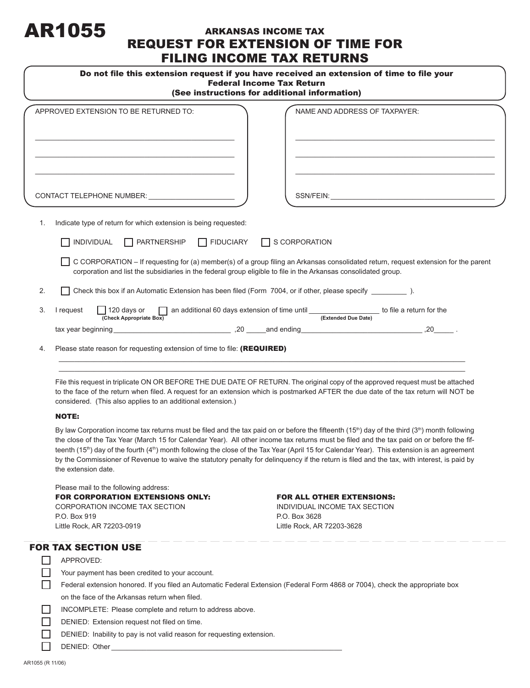# AR1055

# ARKANSAS INCOME TAX REQUEST FOR EXTENSION OF TIME FOR FILING INCOME TAX RETURNS

| Do not file this extension request if you have received an extension of time to file your<br><b>Federal Income Tax Return</b><br>(See instructions for additional information) |                                                                                                                                                                                                                                                                                                                                         |  |
|--------------------------------------------------------------------------------------------------------------------------------------------------------------------------------|-----------------------------------------------------------------------------------------------------------------------------------------------------------------------------------------------------------------------------------------------------------------------------------------------------------------------------------------|--|
|                                                                                                                                                                                | APPROVED EXTENSION TO BE RETURNED TO:<br>NAME AND ADDRESS OF TAXPAYER:                                                                                                                                                                                                                                                                  |  |
|                                                                                                                                                                                |                                                                                                                                                                                                                                                                                                                                         |  |
|                                                                                                                                                                                | CONTACT TELEPHONE NUMBER:<br>SSN/FEIN: New York SSN And The Company of the Company of the Company of the Company of the Company of the Company of the Company of the Company of the Company of the Company of the Company of the Company of the Company of                                                                              |  |
| 1.                                                                                                                                                                             | Indicate type of return for which extension is being requested:                                                                                                                                                                                                                                                                         |  |
|                                                                                                                                                                                | $\Box$ PARTNERSHIP $\Box$ FIDUCIARY<br>INDIVIDUAL<br>$\Box$ S CORPORATION                                                                                                                                                                                                                                                               |  |
|                                                                                                                                                                                | C CORPORATION - If requesting for (a) member(s) of a group filing an Arkansas consolidated return, request extension for the parent<br>corporation and list the subsidiaries in the federal group eligible to file in the Arkansas consolidated group.                                                                                  |  |
| 2.                                                                                                                                                                             | Check this box if an Automatic Extension has been filed (Form 7004, or if other, please specify ___________ ).                                                                                                                                                                                                                          |  |
| 3.                                                                                                                                                                             | $\Box$ an additional 60 days extension of time until $\Box$ (Extended Due Date) to file a return for the<br>I request<br>$\Box$ 120 days or<br>(Check Appropriate Box)                                                                                                                                                                  |  |
|                                                                                                                                                                                |                                                                                                                                                                                                                                                                                                                                         |  |
| 4.                                                                                                                                                                             | Please state reason for requesting extension of time to file: (REQUIRED)                                                                                                                                                                                                                                                                |  |
|                                                                                                                                                                                | File this request in triplicate ON OR BEFORE THE DUE DATE OF RETURN. The original copy of the approved request must be attached<br>to the face of the return when filed. A request for an extension which is postmarked AFTER the due date of the tax return will NOT be<br>considered. (This also applies to an additional extension.) |  |

#### NOTE:

By law Corporation income tax returns must be filed and the tax paid on or before the fifteenth (15<sup>th</sup>) day of the third (3<sup>th</sup>) month following the close of the Tax Year (March 15 for Calendar Year). All other income tax returns must be filed and the tax paid on or before the fifteenth (15<sup>th</sup>) day of the fourth (4<sup>th</sup>) month following the close of the Tax Year (April 15 for Calendar Year). This extension is an agreement by the Commissioner of Revenue to waive the statutory penalty for delinquency if the return is filed and the tax, with interest, is paid by the extension date.

 Please mail to the following address: FOR CORPORATION EXTENSIONS ONLY: FOR ALL OTHER EXTENSIONS: CORPORATION INCOME TAX SECTION INDIVIDUAL INCOME TAX SECTION P.O. Box 919 P.O. Box 3628 Little Rock, AR 72203-0919 Little Rock, AR 72203-3628

# FOR TAX SECTION USE

 $\Box$  DENIED: Other

| APPROVED:                                                                                                                     |
|-------------------------------------------------------------------------------------------------------------------------------|
| Your payment has been credited to your account.                                                                               |
| Federal extension honored. If you filed an Automatic Federal Extension (Federal Form 4868 or 7004), check the appropriate box |
| on the face of the Arkansas return when filed.                                                                                |
| INCOMPLETE: Please complete and return to address above.                                                                      |
| DENIED: Extension request not filed on time.                                                                                  |
| DENIED: Inability to pay is not valid reason for requesting extension.                                                        |